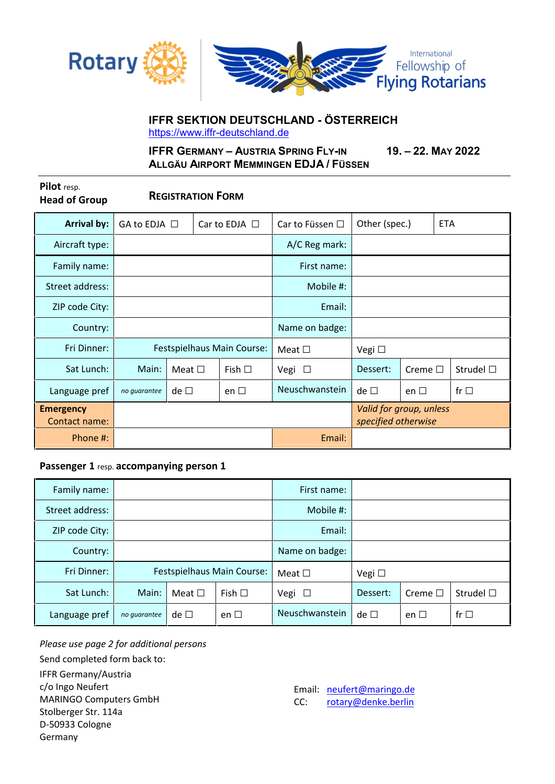

# **IFFR SEKTION DEUTSCHLAND - ÖSTERREICH** https://www.iffr-deutschland.de

**IFFR GERMANY – AUSTRIA SPRING FLY-IN 19. – 22. MAY 2022 ALLGÄU AIRPORT MEMMINGEN EDJA / FÜSSEN**

**Pilot** resp.

**Head of Group REGISTRATION FORM**

| <b>Arrival by:</b>                | GA to EDJA □               |                |  | Car to EDJA $\Box$ | Car to Füssen □ | Other (spec.)                                  |                 | <b>ETA</b>        |
|-----------------------------------|----------------------------|----------------|--|--------------------|-----------------|------------------------------------------------|-----------------|-------------------|
| Aircraft type:                    |                            |                |  | A/C Reg mark:      |                 |                                                |                 |                   |
| Family name:                      |                            |                |  | First name:        |                 |                                                |                 |                   |
| Street address:                   |                            |                |  | Mobile #:          |                 |                                                |                 |                   |
| ZIP code City:                    |                            |                |  | Email:             |                 |                                                |                 |                   |
| Country:                          |                            |                |  | Name on badge:     |                 |                                                |                 |                   |
| Fri Dinner:                       | Festspielhaus Main Course: |                |  | Meat $\square$     | Vegi $\Box$     |                                                |                 |                   |
| Sat Lunch:                        | Main:                      | Meat $\square$ |  | Fish $\Box$        | Vegi $\Box$     | Dessert:                                       | Creme $\square$ | Strudel $\square$ |
| Language pref                     | no quarantee               | de $\square$   |  | en $\Box$          | Neuschwanstein  | $de \Box$                                      | en $\square$    | fr $\Box$         |
| <b>Emergency</b><br>Contact name: |                            |                |  |                    |                 | Valid for group, unless<br>specified otherwise |                 |                   |
| Phone #:                          |                            |                |  | Email:             |                 |                                                |                 |                   |

### **Passenger 1** resp. **accompanying person 1**

| Family name:    |                            |                |             | First name:    |             |              |                   |
|-----------------|----------------------------|----------------|-------------|----------------|-------------|--------------|-------------------|
| Street address: |                            |                |             | Mobile #:      |             |              |                   |
| ZIP code City:  |                            |                |             | Email:         |             |              |                   |
| Country:        |                            |                |             | Name on badge: |             |              |                   |
| Fri Dinner:     | Festspielhaus Main Course: |                |             | Meat $\Box$    | Vegi $\Box$ |              |                   |
| Sat Lunch:      | Main:                      | Meat $\square$ | Fish $\Box$ | Vegi $\Box$    | Dessert:    | Creme $\Box$ | Strudel $\square$ |
| Language pref   | no quarantee               | de $\Box$      | en $\Box$   | Neuschwanstein | $de \Box$   | en $\square$ | fr $\Box$         |

*Please use page 2 for additional persons*

Send completed form back to:

IFFR Germany/Austria c/o Ingo Neufert MARINGO Computers GmbH Stolberger Str. 114a D-50933 Cologne Germany

Email: neufert@maringo.de CC: rotary@denke.berlin